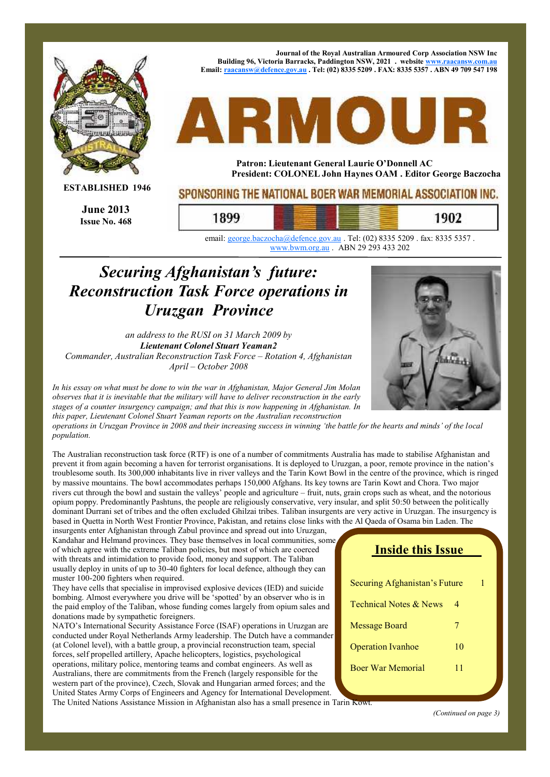

email: george.baczocha@defence.gov.au . Tel: (02) 8335 5209 . fax: 8335 5357 . www.bwm.org.au . ABN 29 293 433 202

## *Securing Afghanistan's future: Reconstruction Task Force operations in Uruzgan Province*

*an address to the RUSI on 31 March 2009 by Lieutenant Colonel Stuart Yeaman2 Commander, Australian Reconstruction Task Force – Rotation 4, Afghanistan April – October 2008*



*In his essay on what must be done to win the war in Afghanistan, Major General Jim Molan observes that it is inevitable that the military will have to deliver reconstruction in the early stages of a counter insurgency campaign; and that this is now happening in Afghanistan. In this paper, Lieutenant Colonel Stuart Yeaman reports on the Australian reconstruction*

operations in Uruzgan Province in 2008 and their increasing success in winning 'the battle for the hearts and minds' of the local *population.*

The Australian reconstruction task force (RTF) is one of a number of commitments Australia has made to stabilise Afghanistan and prevent it from again becoming a haven for terrorist organisations. It is deployed to Uruzgan, a poor, remote province in the nation's troublesome south. Its 300,000 inhabitants live in river valleys and the Tarin Kowt Bowl in the centre of the province, which is ringed by massive mountains. The bowl accommodates perhaps 150,000 Afghans. Its key towns are Tarin Kowt and Chora. Two major rivers cut through the bowl and sustain the valleys' people and agriculture – fruit, nuts, grain crops such as wheat, and the notorious opium poppy. Predominantly Pashtuns, the people are religiously conservative, very insular, and split 50:50 between the politically dominant Durrani set of tribes and the often excluded Ghilzai tribes. Taliban insurgents are very active in Uruzgan. The insurgency is based in Quetta in North West Frontier Province, Pakistan, and retains close links with the Al Qaeda of Osama bin Laden. The

insurgents enter Afghanistan through Zabul province and spread out into Uruzgan, Kandahar and Helmand provinces. They base themselves in local communities, some of which agree with the extreme Taliban policies, but most of which are coerced with threats and intimidation to provide food, money and support. The Taliban usually deploy in units of up to 30-40 fighters for local defence, although they can muster 100-200 fighters when required.

They have cells that specialise in improvised explosive devices (IED) and suicide bombing. Almost everywhere you drive will be ʻspotted' by an observer who is in the paid employ of the Taliban, whose funding comes largely from opium sales and donations made by sympathetic foreigners.

NATO's International Security Assistance Force (ISAF) operations in Uruzgan are conducted under Royal Netherlands Army leadership. The Dutch have a commander (at Colonel level), with a battle group, a provincial reconstruction team, special forces, self propelled artillery, Apache helicopters, logistics, psychological operations, military police, mentoring teams and combat engineers. As well as Australians, there are commitments from the French (largely responsible for the western part of the province), Czech, Slovak and Hungarian armed forces; and the United States Army Corps of Engineers and Agency for International Development. The United Nations Assistance Mission in Afghanistan also has a small presence in Tarin Kowt.

| <b>Inside this Issue</b>          |    |   |  |  |
|-----------------------------------|----|---|--|--|
| Securing Afghanistan's Future     |    | 1 |  |  |
| <b>Technical Notes &amp; News</b> | 4  |   |  |  |
| Message Board                     | 7  |   |  |  |
| <b>Operation Ivanhoe</b>          | 10 |   |  |  |
| <b>Boer War Memorial</b>          | 11 |   |  |  |
|                                   |    |   |  |  |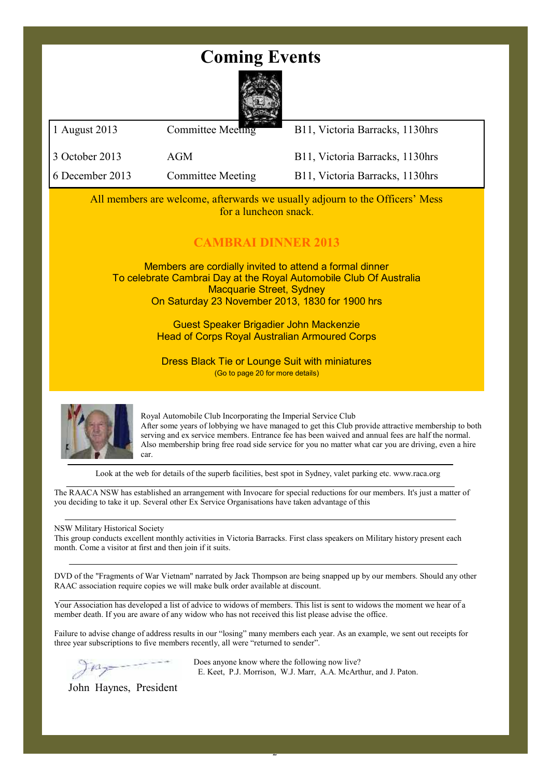## **Coming Events**



| 3 October 2013                                                                                                                                                                                                      | AGM                                                                                       | B11, Victoria Barracks, 1130hrs                                                                                                                                                                                                                                                                                  |  |  |  |
|---------------------------------------------------------------------------------------------------------------------------------------------------------------------------------------------------------------------|-------------------------------------------------------------------------------------------|------------------------------------------------------------------------------------------------------------------------------------------------------------------------------------------------------------------------------------------------------------------------------------------------------------------|--|--|--|
| 6 December 2013                                                                                                                                                                                                     | <b>Committee Meeting</b>                                                                  | B11, Victoria Barracks, 1130hrs                                                                                                                                                                                                                                                                                  |  |  |  |
| All members are welcome, afterwards we usually adjourn to the Officers' Mess<br>for a luncheon snack.                                                                                                               |                                                                                           |                                                                                                                                                                                                                                                                                                                  |  |  |  |
| <b>CAMBRAI DINNER 2013</b>                                                                                                                                                                                          |                                                                                           |                                                                                                                                                                                                                                                                                                                  |  |  |  |
| Members are cordially invited to attend a formal dinner<br>To celebrate Cambrai Day at the Royal Automobile Club Of Australia<br><b>Macquarie Street, Sydney</b><br>On Saturday 23 November 2013, 1830 for 1900 hrs |                                                                                           |                                                                                                                                                                                                                                                                                                                  |  |  |  |
| Guest Speaker Brigadier John Mackenzie<br><b>Head of Corps Royal Australian Armoured Corps</b>                                                                                                                      |                                                                                           |                                                                                                                                                                                                                                                                                                                  |  |  |  |
|                                                                                                                                                                                                                     | <b>Dress Black Tie or Lounge Suit with miniatures</b><br>(Go to page 20 for more details) |                                                                                                                                                                                                                                                                                                                  |  |  |  |
|                                                                                                                                                                                                                     | Royal Automobile Club Incorporating the Imperial Service Club                             | After some years of lobbying we have managed to get this Club provide attractive membership to both<br>serving and ex service members. Entrance fee has been waived and annual fees are half the normal.<br>Also membership bring free road side service for you no matter what car you are driving, even a hire |  |  |  |

car.

Look at the web for details of the superb facilities, best spot in Sydney, valet parking etc. www.raca.org

The RAACA NSW has established an arrangement with Invocare for special reductions for our members. It's just a matter of you deciding to take it up. Several other Ex Service Organisations have taken advantage of this

NSW Military Historical Society

This group conducts excellent monthly activities in Victoria Barracks. First class speakers on Military history present each month. Come a visitor at first and then join if it suits.

DVD of the "Fragments of War Vietnam" narrated by Jack Thompson are being snapped up by our members. Should any other RAAC association require copies we will make bulk order available at discount.

Your Association has developed a list of advice to widows of members. This list is sent to widows the moment we hear of a member death. If you are aware of any widow who has not received this list please advise the office.

Failure to advise change of address results in our "losing" many members each year. As an example, we sent out receipts for three year subscriptions to five members recently, all were "returned to sender".

2

Does anyone know where the following now live? E. Keet, P.J. Morrison, W.J. Marr, A.A. McArthur, and J. Paton.

John Haynes, President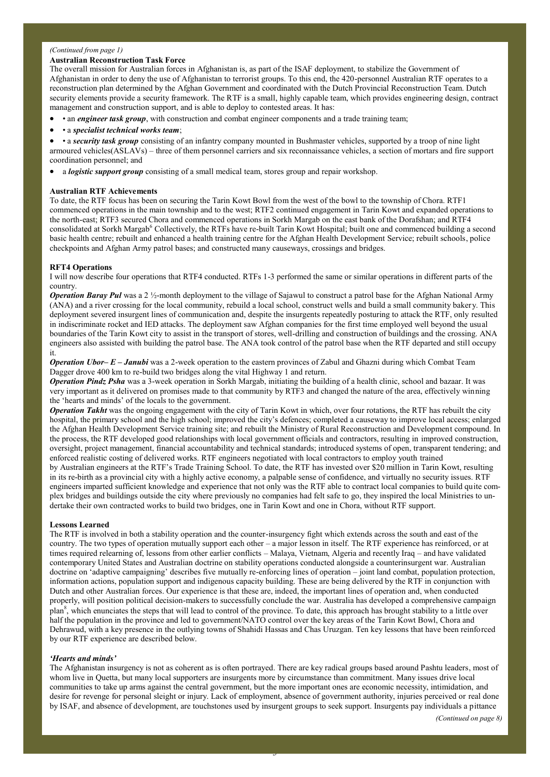#### *(Continued from page 1)*

#### **Australian Reconstruction Task Force**

The overall mission for Australian forces in Afghanistan is, as part of the ISAF deployment, to stabilize the Government of Afghanistan in order to deny the use of Afghanistan to terrorist groups. To this end, the 420-personnel Australian RTF operates to a reconstruction plan determined by the Afghan Government and coordinated with the Dutch Provincial Reconstruction Team. Dutch security elements provide a security framework. The RTF is a small, highly capable team, which provides engineering design, contract management and construction support, and is able to deploy to contested areas. It has:

- an *engineer task group*, with construction and combat engineer components and a trade training team;
- a *specialist technical works team*;

 • a *security task group* consisting of an infantry company mounted in Bushmaster vehicles, supported by a troop of nine light armoured vehicles(ASLAVs) – three of them personnel carriers and six reconnaissance vehicles, a section of mortars and fire support coordination personnel; and

a *logistic support group* consisting of a small medical team, stores group and repair workshop.

#### **Australian RTF Achievements**

To date, the RTF focus has been on securing the Tarin Kowt Bowl from the west of the bowl to the township of Chora. RTF1 commenced operations in the main township and to the west; RTF2 continued engagement in Tarin Kowt and expanded operations to the north-east; RTF3 secured Chora and commenced operations in Sorkh Margab on the east bank of the Dorafshan; and RTF4 consolidated at Sorkh Margab<sup>6</sup> Collectively, the RTFs have re-built Tarin Kowt Hospital; built one and commenced building a second basic health centre; rebuilt and enhanced a health training centre for the Afghan Health Development Service; rebuilt schools, police checkpoints and Afghan Army patrol bases; and constructed many causeways, crossings and bridges.

#### **RFT4 Operations**

I will now describe four operations that RTF4 conducted. RTFs 1-3 performed the same or similar operations in different parts of the country.

*Operation Baray Pul* was a 2 ½-month deployment to the village of Sajawul to construct a patrol base for the Afghan National Army (ANA) and a river crossing for the local community, rebuild a local school, construct wells and build a small community bakery. This deployment severed insurgent lines of communication and, despite the insurgents repeatedly posturing to attack the RTF, only resulted in indiscriminate rocket and IED attacks. The deployment saw Afghan companies for the first time employed well beyond the usual boundaries of the Tarin Kowt city to assist in the transport of stores, well-drilling and construction of buildings and the crossing. ANA engineers also assisted with building the patrol base. The ANA took control of the patrol base when the RTF departed and still occupy it.

*Operation Ubor– E – Janubi* was a 2-week operation to the eastern provinces of Zabul and Ghazni during which Combat Team Dagger drove 400 km to re-build two bridges along the vital Highway 1 and return.

*Operation Pindz Psha* was a 3-week operation in Sorkh Margab, initiating the building of a health clinic, school and bazaar. It was very important as it delivered on promises made to that community by RTF3 and changed the nature of the area, effectively winning the ʻhearts and minds' of the locals to the government.

*Operation Takht* was the ongoing engagement with the city of Tarin Kowt in which, over four rotations, the RTF has rebuilt the city hospital, the primary school and the high school; improved the city's defences; completed a causeway to improve local access; enlarged the Afghan Health Development Service training site; and rebuilt the Ministry of Rural Reconstruction and Development compound. In the process, the RTF developed good relationships with local government officials and contractors, resulting in improved construction, oversight, project management, financial accountability and technical standards; introduced systems of open, transparent tendering; and enforced realistic costing of delivered works. RTF engineers negotiated with local contractors to employ youth trained by Australian engineers at the RTF's Trade Training School. To date, the RTF has invested over \$20 million in Tarin Kowt, resulting in its re-birth as a provincial city with a highly active economy, a palpable sense of confidence, and virtually no security issues. RTF engineers imparted sufficient knowledge and experience that not only was the RTF able to contract local companies to build quite complex bridges and buildings outside the city where previously no companies had felt safe to go, they inspired the local Ministries to undertake their own contracted works to build two bridges, one in Tarin Kowt and one in Chora, without RTF support.

#### **Lessons Learned**

The RTF is involved in both a stability operation and the counter-insurgency fight which extends across the south and east of the country. The two types of operation mutually support each other – a major lesson in itself. The RTF experience has reinforced, or at times required relearning of, lessons from other earlier conflicts – Malaya, Vietnam, Algeria and recently Iraq – and have validated contemporary United States and Australian doctrine on stability operations conducted alongside a counterinsurgent war. Australian doctrine on ʻadaptive campaigning' describes five mutually re-enforcing lines of operation – joint land combat, population protection, information actions, population support and indigenous capacity building. These are being delivered by the RTF in conjunction with Dutch and other Australian forces. Our experience is that these are, indeed, the important lines of operation and, when conducted properly, will position political decision-makers to successfully conclude the war. Australia has developed a comprehensive campaign plan<sup>8</sup>, which enunciates the steps that will lead to control of the province. To date, this approach has brought stability to a little over half the population in the province and led to government/NATO control over the key areas of the Tarin Kowt Bowl, Chora and Dehrawud, with a key presence in the outlying towns of Shahidi Hassas and Chas Uruzgan. Ten key lessons that have been reinforced by our RTF experience are described below.

#### *ʻHearts and minds'*

The Afghanistan insurgency is not as coherent as is often portrayed. There are key radical groups based around Pashtu leaders, most of whom live in Quetta, but many local supporters are insurgents more by circumstance than commitment. Many issues drive local communities to take up arms against the central government, but the more important ones are economic necessity, intimidation, and desire for revenge for personal sleight or injury. Lack of employment, absence of government authority, injuries perceived or real done by ISAF, and absence of development, are touchstones used by insurgent groups to seek support. Insurgents pay individuals a pittance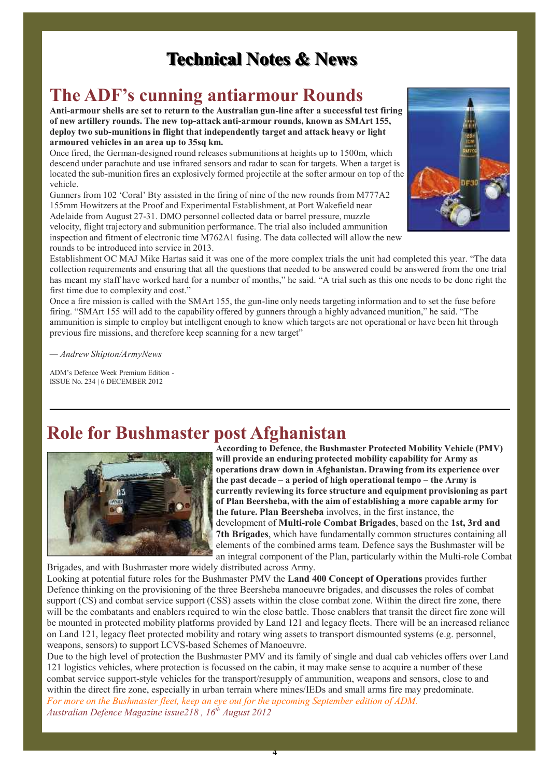## **Technical Notes & News**

## **The ADF's cunning antiarmour Rounds**

**Anti-armour shells are set to return to the Australian gun-line after a successful test firing of new artillery rounds. The new top-attack anti-armour rounds, known as SMArt 155, deploy two sub-munitionsin flight that independently target and attack heavy or light armoured vehicles in an area up to 35sq km.**

Once fired, the German-designed round releases submunitions at heights up to 1500m, which descend under parachute and use infrared sensors and radar to scan for targets. When a target is located the sub-munition fires an explosively formed projectile at the softer armour on top of the vehicle.

Gunners from 102 'Coral' Bty assisted in the firing of nine of the new rounds from M777A2 155mm Howitzers at the Proof and Experimental Establishment, at Port Wakefield near Adelaide from August 27-31. DMO personnel collected data or barrel pressure, muzzle velocity, flight trajectory and submunition performance. The trial also included ammunition inspection and fitment of electronic time M762A1 fusing. The data collected will allow the new rounds to be introduced into service in 2013.



Establishment OC MAJ Mike Hartas said it was one of the more complex trials the unit had completed this year. "The data collection requirements and ensuring that all the questions that needed to be answered could be answered from the one trial has meant my staff have worked hard for a number of months," he said. "A trial such as this one needs to be done right the first time due to complexity and cost."

Once a fire mission is called with the SMArt 155, the gun-line only needs targeting information and to set the fuse before firing. "SMArt 155 will add to the capability offered by gunners through a highly advanced munition," he said. "The ammunition is simple to employ but intelligent enough to know which targets are not operational or have been hit through previous fire missions, and therefore keep scanning for a new target"

*— Andrew Shipton/ArmyNews*

ADM's Defence Week Premium Edition - ISSUE No. 234 | 6 DECEMBER 2012

## **Role for Bushmaster post Afghanistan**



**According to Defence, the Bushmaster Protected Mobility Vehicle (PMV) will provide an enduring protected mobility capability for Army as operations draw down in Afghanistan. Drawing from its experience over the past decade – a period of high operational tempo – the Army is currently reviewing its force structure and equipment provisioning as part of Plan Beersheba, with the aim of establishing a more capable army for the future. Plan Beersheba** involves, in the first instance, the development of **Multi-role Combat Brigades**, based on the **1st, 3rd and 7th Brigades**, which have fundamentally common structures containing all elements of the combined arms team. Defence says the Bushmaster will be an integral component of the Plan, particularly within the Multi-role Combat

Brigades, and with Bushmaster more widely distributed across Army.

Looking at potential future roles for the Bushmaster PMV the **Land 400 Concept of Operations** provides further Defence thinking on the provisioning of the three Beersheba manoeuvre brigades, and discusses the roles of combat support (CS) and combat service support (CSS) assets within the close combat zone. Within the direct fire zone, there will be the combatants and enablers required to win the close battle. Those enablers that transit the direct fire zone will be mounted in protected mobility platforms provided by Land 121 and legacy fleets. There will be an increased reliance on Land 121, legacy fleet protected mobility and rotary wing assets to transport dismounted systems (e.g. personnel, weapons, sensors) to support LCVS-based Schemes of Manoeuvre.

Due to the high level of protection the Bushmaster PMV and its family of single and dual cab vehicles offers over Land 121 logistics vehicles, where protection is focussed on the cabin, it may make sense to acquire a number of these combat service support-style vehicles for the transport/resupply of ammunition, weapons and sensors, close to and within the direct fire zone, especially in urban terrain where mines/IEDs and small arms fire may predominate. *For more on the Bushmaster fleet, keep an eye out for the upcoming September edition of ADM. Australian Defence Magazine issue218 , 16 th August 2012*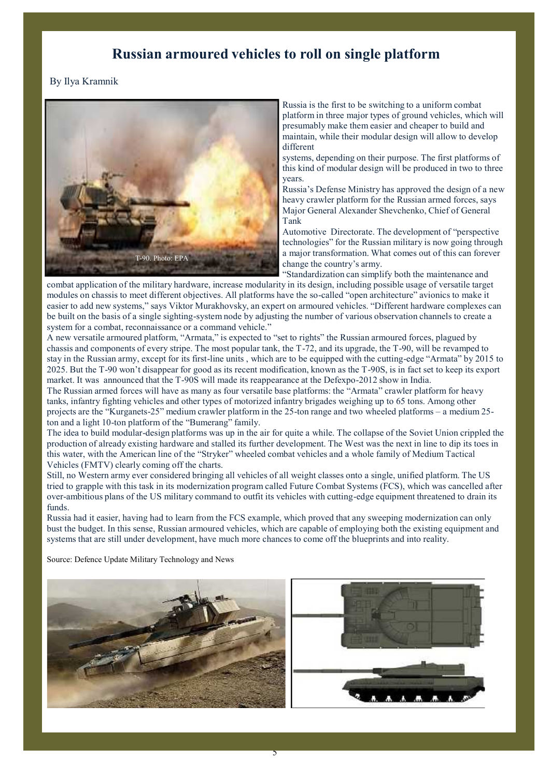## **Russian armoured vehicles to roll on single platform**

### By Ilya Kramnik



Russia is the first to be switching to a uniform combat platform in three major types of ground vehicles, which will presumably make them easier and cheaper to build and maintain, while their modular design will allow to develop different

systems, depending on their purpose. The first platforms of this kind of modular design will be produced in two to three years.

Russia's Defense Ministry has approved the design of a new heavy crawler platform for the Russian armed forces, says Major General Alexander Shevchenko, Chief of General Tank

Automotive Directorate. The development of "perspective technologies" for the Russian military is now going through a major transformation. What comes out of this can forever change the country's army.

"Standardization can simplify both the maintenance and combat application of the military hardware, increase modularity in its design, including possible usage of versatile target modules on chassis to meet different objectives. All platforms have the so-called "open architecture" avionics to make it easier to add new systems," says Viktor Murakhovsky, an expert on armoured vehicles. "Different hardware complexes can be built on the basis of a single sighting-system node by adjusting the number of various observation channels to create a system for a combat, reconnaissance or a command vehicle."

A new versatile armoured platform, "Armata," is expected to "set to rights" the Russian armoured forces, plagued by chassis and components of every stripe. The most popular tank, the T-72, and its upgrade, the T-90, will be revamped to stay in the Russian army, except for its first-line units , which are to be equipped with the cutting-edge "Armata" by 2015 to 2025. But the T-90 won't disappear for good as its recent modification, known as the T-90S, is in fact set to keep its export market. It was announced that the T-90S will made its reappearance at the Defexpo-2012 show in India.

The Russian armed forces will have as many as four versatile base platforms: the "Armata" crawler platform for heavy tanks, infantry fighting vehicles and other types of motorized infantry brigades weighing up to 65 tons. Among other projects are the "Kurganets-25" medium crawler platform in the 25-ton range and two wheeled platforms – a medium 25 ton and a light 10-ton platform of the "Bumerang" family.

The idea to build modular-design platforms was up in the air for quite a while. The collapse of the Soviet Union crippled the production of already existing hardware and stalled its further development. The West was the next in line to dip its toes in this water, with the American line of the "Stryker" wheeled combat vehicles and a whole family of Medium Tactical Vehicles (FMTV) clearly coming off the charts.

Still, no Western army ever considered bringing all vehicles of all weight classes onto a single, unified platform. The US tried to grapple with this task in its modernization program called Future Combat Systems (FCS), which was cancelled after over-ambitious plans of the US military command to outfit its vehicles with cutting-edge equipment threatened to drain its funds.

Russia had it easier, having had to learn from the FCS example, which proved that any sweeping modernization can only bust the budget. In this sense, Russian armoured vehicles, which are capable of employing both the existing equipment and systems that are still under development, have much more chances to come off the blueprints and into reality.

Source: Defence Update Military Technology and News



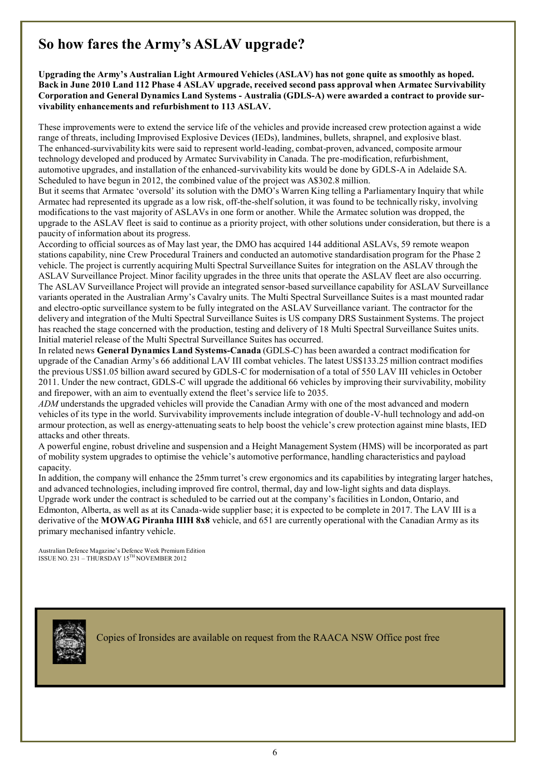## **So how fares the Army's ASLAV upgrade?**

**Upgrading the Army's Australian Light Armoured Vehicles (ASLAV) has not gone quite as smoothly as hoped. Back in June 2010 Land 112 Phase 4 ASLAV upgrade, received second pass approval when Armatec Survivability Corporation and General Dynamics Land Systems - Australia (GDLS-A) were awarded a contract to provide survivability enhancements and refurbishment to 113 ASLAV.**

These improvements were to extend the service life of the vehicles and provide increased crew protection against a wide range of threats, including Improvised Explosive Devices (IEDs), landmines, bullets, shrapnel, and explosive blast. The enhanced-survivability kits were said to represent world-leading, combat-proven, advanced, composite armour technology developed and produced by Armatec Survivability in Canada. The pre-modification, refurbishment, automotive upgrades, and installation of the enhanced-survivability kits would be done by GDLS-A in Adelaide SA. Scheduled to have begun in 2012, the combined value of the project was A\$302.8 million.

But it seems that Armatec 'oversold' its solution with the DMO's Warren King telling a Parliamentary Inquiry that while Armatec had represented its upgrade as a low risk, off-the-shelfsolution, it was found to be technically risky, involving modificationsto the vast majority of ASLAVs in one form or another. While the Armatec solution was dropped, the upgrade to the ASLAV fleet is said to continue as a priority project, with other solutions under consideration, but there is a paucity of information about its progress.

According to official sources as of May last year, the DMO has acquired 144 additional ASLAVs, 59 remote weapon stations capability, nine Crew Procedural Trainers and conducted an automotive standardisation program for the Phase 2 vehicle. The project is currently acquiring Multi Spectral Surveillance Suites for integration on the ASLAV through the ASLAV Surveillance Project. Minor facility upgrades in the three units that operate the ASLAV fleet are also occurring. The ASLAV Surveillance Project will provide an integrated sensor-based surveillance capability for ASLAV Surveillance variants operated in the Australian Army's Cavalry units. The Multi Spectral Surveillance Suites is a mast mounted radar and electro-optic surveillance system to be fully integrated on the ASLAV Surveillance variant. The contractor for the delivery and integration of the Multi Spectral Surveillance Suites is US company DRS Sustainment Systems. The project has reached the stage concerned with the production, testing and delivery of 18 Multi Spectral Surveillance Suites units. Initial materiel release of the Multi Spectral Surveillance Suites has occurred.

In related news **General Dynamics Land Systems-Canada** (GDLS-C) has been awarded a contract modification for upgrade of the Canadian Army's 66 additional LAV III combat vehicles. The latest US\$133.25 million contract modifies the previous US\$1.05 billion award secured by GDLS-C for modernisation of a total of 550 LAV III vehicles in October 2011. Under the new contract, GDLS-C will upgrade the additional 66 vehicles by improving their survivability, mobility and firepower, with an aim to eventually extend the fleet's service life to 2035.

*ADM* understands the upgraded vehicles will provide the Canadian Army with one of the most advanced and modern vehicles of its type in the world. Survivability improvements include integration of double-V-hull technology and add-on armour protection, as well as energy-attenuating seats to help boost the vehicle's crew protection against mine blasts, IED attacks and other threats.

A powerful engine, robust driveline and suspension and a Height Management System (HMS) will be incorporated as part of mobility system upgrades to optimise the vehicle's automotive performance, handling characteristics and payload capacity.

In addition, the company will enhance the 25mm turret's crew ergonomics and its capabilities by integrating larger hatches, and advanced technologies, including improved fire control, thermal, day and low-light sights and data displays. Upgrade work under the contract is scheduled to be carried out at the company's facilities in London, Ontario, and Edmonton, Alberta, as well as at its Canada-wide supplier base; it is expected to be complete in 2017. The LAV III is a derivative of the **MOWAG Piranha IIIH 8x8** vehicle, and 651 are currently operational with the Canadian Army as its primary mechanised infantry vehicle.

Australian Defence Magazine's Defence Week Premium Edition ISSUE NO. 231 – THURSDAY 15 TH NOVEMBER 2012



Copies of Ironsides are available on request from the RAACA NSW Office post free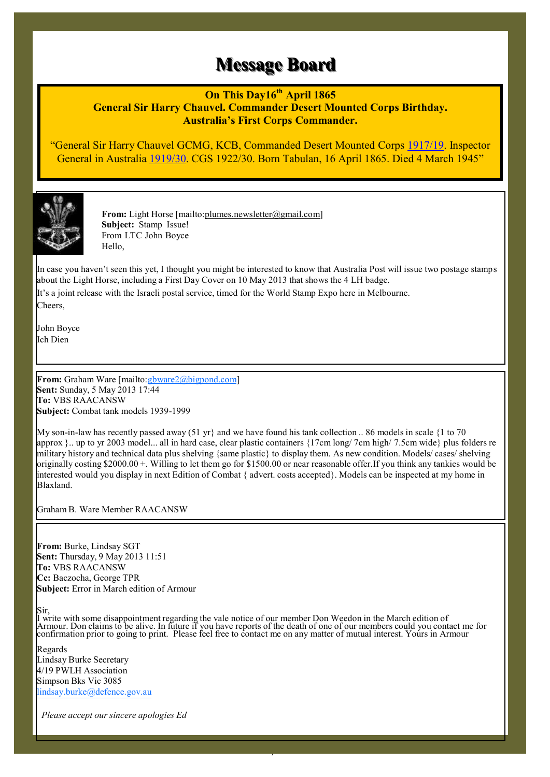## **Message Board**

**On This Day16th April 1865**

**General Sir Harry Chauvel. Commander Desert Mounted Corps Birthday. Australia's First Corps Commander.**

"General Sir Harry Chauvel GCMG, KCB, Commanded Desert Mounted Corps 1917/19. Inspector General in Australia 1919/30. CGS 1922/30. Born Tabulan, 16 April 1865. Died 4 March 1945"



**From:** Light Horse [mailto:plumes.newsletter@gmail.com] **Subject:** Stamp Issue! From LTC John Boyce Hello,

In case you haven't seen this yet, I thought you might be interested to know that Australia Post will issue two postage stamps about the Light Horse, including a First Day Cover on 10 May 2013 that shows the 4 LH badge.

It's a joint release with the Israeli postal service, timed for the World Stamp Expo here in Melbourne. Cheers,

John Boyce Ich Dien

From: Graham Ware [mailto: *gbware2@bigpond.com]* **Sent:** Sunday, 5 May 2013 17:44 **To:** VBS RAACANSW **Subject:** Combat tank models 1939-1999

My son-in-law has recently passed away (51 yr) and we have found his tank collection .. 86 models in scale {1 to 70 approx }.. up to yr 2003 model... all in hard case, clear plastic containers {17cm long/ 7cm high/ 7.5cm wide} plus folders re military history and technical data plus shelving {same plastic} to display them. As new condition. Models/ cases/ shelving originally costing \$2000.00 +. Willing to let them go for \$1500.00 or near reasonable offer.If you think any tankies would be interested would you display in next Edition of Combat { advert. costs accepted}. Models can be inspected at my home in Blaxland.

Graham B. Ware Member RAACANSW

**From:** Burke, Lindsay SGT **Sent:** Thursday, 9 May 2013 11:51 **To:** VBS RAACANSW **Cc:** Baczocha, George TPR **Subject:** Error in March edition of Armour

Sir,

I write with some disappointment regarding the vale notice of our member Don Weedon in the March edition of Armour. Don claims to be alive. In future if you have reports of the death of one of our members could you contact me for confirmation prior to going to print. Please feel free to contact me on any matter of mutual interest. Yours in Armour

7

Regards Lindsay Burke Secretary 4/19 PWLH Association Simpson Bks Vic 3085 lindsay.burke@defence.gov.au

*Please accept our sincere apologies Ed*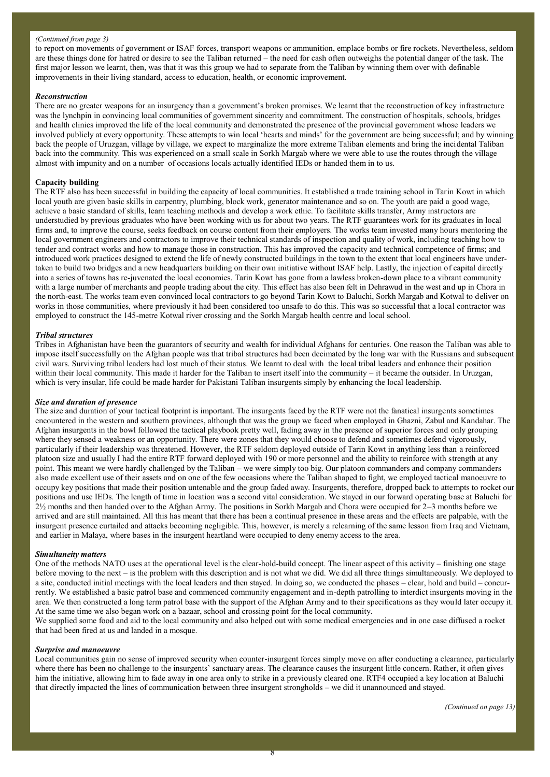#### *(Continued from page 3)*

to report on movements of government or ISAF forces, transport weapons or ammunition, emplace bombs or fire rockets. Nevertheless, seldom are these things done for hatred or desire to see the Taliban returned – the need for cash often outweighs the potential danger of the task. The first major lesson we learnt, then, was that it was this group we had to separate from the Taliban by winning them over with definable improvements in their living standard, access to education, health, or economic improvement.

#### *Reconstruction*

There are no greater weapons for an insurgency than a government's broken promises. We learnt that the reconstruction of key infrastructure was the lynchpin in convincing local communities of government sincerity and commitment. The construction of hospitals, schools, bridges and health clinics improved the life of the local community and demonstrated the presence of the provincial government whose leaders we involved publicly at every opportunity. These attempts to win local ʻhearts and minds' for the government are being successful; and by winning back the people of Uruzgan, village by village, we expect to marginalize the more extreme Taliban elements and bring the incidental Taliban back into the community. This was experienced on a small scale in Sorkh Margab where we were able to use the routes through the village almost with impunity and on a number of occasions locals actually identified IEDs or handed them in to us.

#### **Capacity building**

The RTF also has been successful in building the capacity of local communities. It established a trade training school in Tarin Kowt in which local youth are given basic skills in carpentry, plumbing, block work, generator maintenance and so on. The youth are paid a good wage, achieve a basic standard of skills, learn teaching methods and develop a work ethic. To facilitate skills transfer, Army instructors are understudied by previous graduates who have been working with us for about two years. The RTF guarantees work for its graduates in local firms and, to improve the course, seeks feedback on course content from their employers. The works team invested many hours mentoring the local government engineers and contractors to improve their technical standards of inspection and quality of work, including teaching how to tender and contract works and how to manage those in construction. This has improved the capacity and technical competence of firms; and introduced work practices designed to extend the life of newly constructed buildings in the town to the extent that local engineers have undertaken to build two bridges and a new headquarters building on their own initiative without ISAF help. Lastly, the injection of capital directly into a series of towns has re-juvenated the local economies. Tarin Kowt has gone from a lawless broken-down place to a vibrant community with a large number of merchants and people trading about the city. This effect has also been felt in Dehrawud in the west and up in Chora in the north-east. The works team even convinced local contractors to go beyond Tarin Kowt to Baluchi, Sorkh Margab and Kotwal to deliver on works in those communities, where previously it had been considered too unsafe to do this. This was so successful that a local contractor was employed to construct the 145-metre Kotwal river crossing and the Sorkh Margab health centre and local school.

#### *Tribal structures*

Tribes in Afghanistan have been the guarantors of security and wealth for individual Afghans for centuries. One reason the Taliban was able to impose itself successfully on the Afghan people was that tribal structures had been decimated by the long war with the Russians and subsequent civil wars. Surviving tribal leaders had lost much of their status. We learnt to deal with the local tribal leaders and enhance their position within their local community. This made it harder for the Taliban to insert itself into the community – it became the outsider. In Uruzgan, which is very insular, life could be made harder for Pakistani Taliban insurgents simply by enhancing the local leadership.

#### *Size and duration of presence*

The size and duration of your tactical footprint is important. The insurgents faced by the RTF were not the fanatical insurgents sometimes encountered in the western and southern provinces, although that was the group we faced when employed in Ghazni, Zabul and Kandahar. The Afghan insurgents in the bowl followed the tactical playbook pretty well, fading away in the presence of superior forces and only grouping where they sensed a weakness or an opportunity. There were zones that they would choose to defend and sometimes defend vigorously, particularly if their leadership was threatened. However, the RTF seldom deployed outside of Tarin Kowt in anything less than a reinforced platoon size and usually I had the entire RTF forward deployed with 190 or more personnel and the ability to reinforce with strength at any point. This meant we were hardly challenged by the Taliban – we were simply too big. Our platoon commanders and company commanders also made excellent use of their assets and on one of the few occasions where the Taliban shaped to fight, we employed tactical manoeuvre to occupy key positions that made their position untenable and the group faded away. Insurgents, therefore, dropped back to attempts to rocket our positions and use IEDs. The length of time in location was a second vital consideration. We stayed in our forward operating base at Baluchi for 2½ months and then handed over to the Afghan Army. The positions in Sorkh Margab and Chora were occupied for 2–3 months before we arrived and are still maintained. All this has meant that there has been a continual presence in these areas and the effects are palpable, with the insurgent presence curtailed and attacks becoming negligible. This, however, is merely a relearning of the same lesson from Iraq and Vietnam, and earlier in Malaya, where bases in the insurgent heartland were occupied to deny enemy access to the area.

#### *Simultaneity matters*

One of the methods NATO uses at the operational level is the clear-hold-build concept. The linear aspect of this activity – finishing one stage before moving to the next – is the problem with this description and is not what we did. We did all three things simultaneously. We deployed to a site, conducted initial meetings with the local leaders and then stayed. In doing so, we conducted the phases – clear, hold and build – concurrently. We established a basic patrol base and commenced community engagement and in-depth patrolling to interdict insurgents moving in the area. We then constructed a long term patrol base with the support of the Afghan Army and to their specifications as they would later occupy it. At the same time we also began work on a bazaar, school and crossing point for the local community.

We supplied some food and aid to the local community and also helped out with some medical emergencies and in one case diffused a rocket that had been fired at us and landed in a mosque.

#### *Surprise and manoeuvre*

Local communities gain no sense of improved security when counter-insurgent forces simply move on after conducting a clearance, particularly where there has been no challenge to the insurgents' sanctuary areas. The clearance causes the insurgent little concern. Rather, it often gives him the initiative, allowing him to fade away in one area only to strike in a previously cleared one. RTF4 occupied a key location at Baluchi that directly impacted the lines of communication between three insurgent strongholds – we did it unannounced and stayed.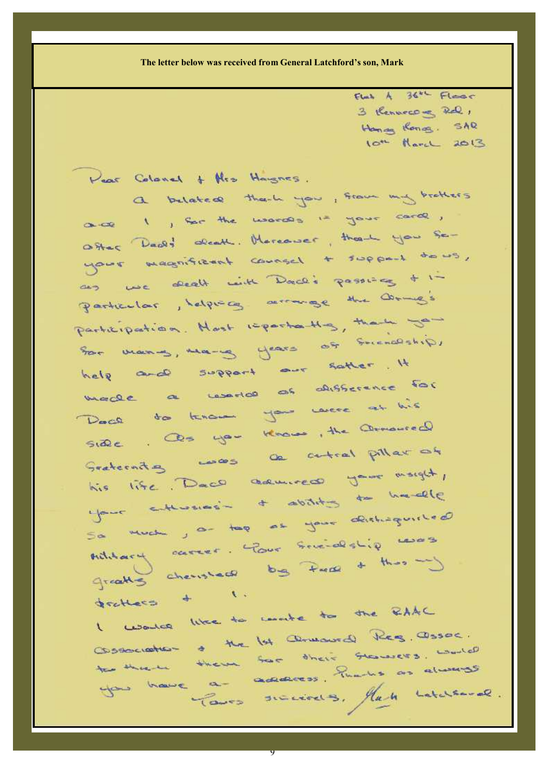**The letter below was received from General Latchford's son, Mark**

 $Funk$   $A$   $364$   $Fleac$ 3 Rennecome Rd, Hannan Kong SAR lot Harol 2013

Pear Colonel + Neo Haugnes. a belated thank you, from my brothers ance I , for the words is your card, Other Dealy about Mercewer, there you seyour magnificent counsel + support to us, an we death with Dad's passing + 1-Particular, helping arrange the Comp's Participation. Hast reportantly, there you Son mones, many years of Succession help and support our satter. It marge a world as disserence for Dace to know you were at his Side . Os you know, the Omnoured his life. Dace adviced your morgh, NIS INTE . L'ability de hacelle So much , a top as your distinguished Sa Much , a they someologiq words Array cheristers by Price + this way dechaco + 1. gentless like to write to the RAAC

Consecration of the 1st armoural Reg. assoc. Cossociation & the lot converse there is world to there there for their thanks as always Para success. Han Latchered.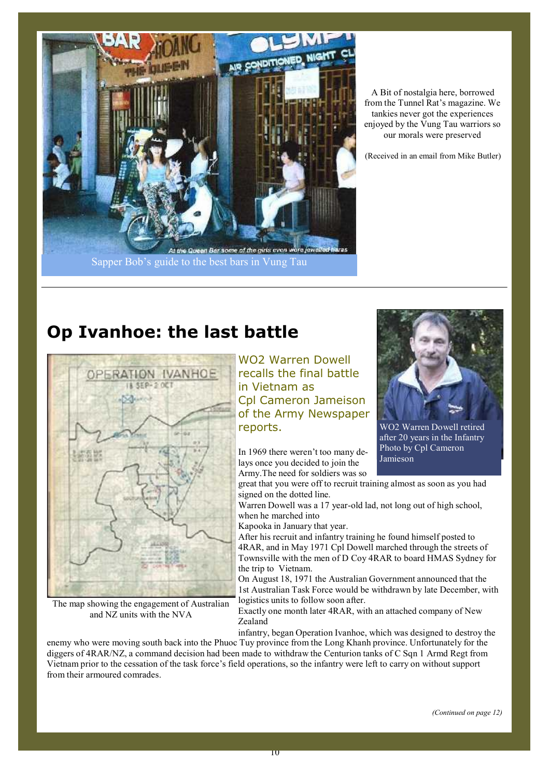

A Bit of nostalgia here, borrowed from the Tunnel Rat's magazine. We tankies never got the experiences enjoyed by the Vung Tau warriors so our morals were preserved

(Received in an email from Mike Butler)

## **Op Ivanhoe: the last battle**



The map showing the engagement of Australian and NZ units with the NVA

WO2 Warren Dowell recalls the final battle in Vietnam as Cpl Cameron Jameison of the Army Newspaper reports.

In 1969 there weren't too many delays once you decided to join the Army.The need for soldiers was so



WO2 Warren Dowell retired after 20 years in the Infantry Photo by Cpl Cameron Jamieson

great that you were off to recruit training almost as soon as you had signed on the dotted line.

Warren Dowell was a 17 year-old lad, not long out of high school, when he marched into

Kapooka in January that year.

After his recruit and infantry training he found himself posted to 4RAR, and in May 1971 Cpl Dowell marched through the streets of Townsville with the men of D Coy 4RAR to board HMAS Sydney for the trip to Vietnam.

On August 18, 1971 the Australian Government announced that the 1st Australian Task Force would be withdrawn by late December, with logistics units to follow soon after.

Exactly one month later 4RAR, with an attached company of New Zealand

infantry, began Operation Ivanhoe, which was designed to destroy the

enemy who were moving south back into the Phuoc Tuy province from the Long Khanh province. Unfortunately for the diggers of 4RAR/NZ, a command decision had been made to withdraw the Centurion tanks of C Sqn 1 Armd Regt from Vietnam prior to the cessation of the task force's field operations, so the infantry were left to carry on without support from their armoured comrades.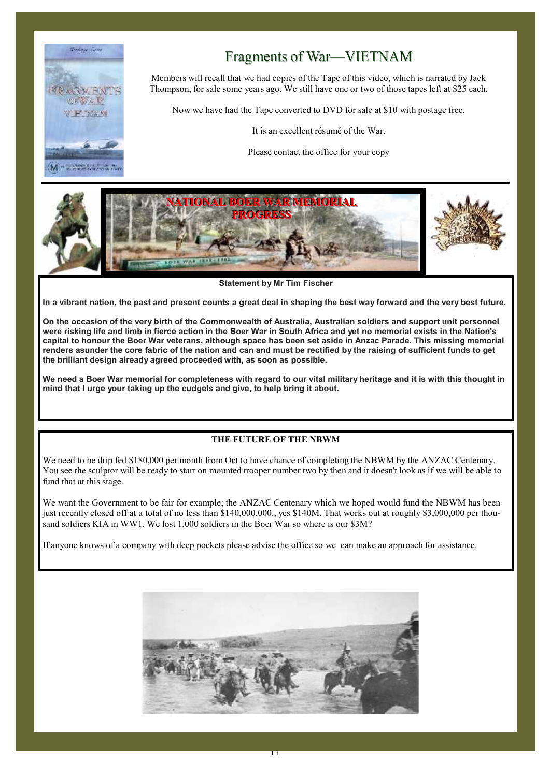

## Fragments of War—VIETNAM

Members will recall that we had copies of the Tape of this video, which is narrated by Jack Thompson, for sale some years ago. We still have one or two of those tapes left at \$25 each.

Now we have had the Tape converted to DVD for sale at \$10 with postage free.

It is an excellent résumé of the War.

Please contact the office for your copy



**Statement by Mr Tim Fischer**

In a vibrant nation, the past and present counts a great deal in shaping the best way forward and the very best future.

On the occasion of the very birth of the Commonwealth of Australia, Australian soldiers and support unit personnel were risking life and limb in fierce action in the Boer War in South Africa and yet no memorial exists in the Nation's capital to honour the Boer War veterans, although space has been set aside in Anzac Parade. This missing memorial renders asunder the core fabric of the nation and can and must be rectified by the raising of sufficient funds to get **the brilliant design already agreed proceeded with, as soon as possible.**

We need a Boer War memorial for completeness with regard to our vital military heritage and it is with this thought in **mind that I urge your taking up the cudgels and give, to help bring it about.**

### **THE FUTURE OF THE NBWM**

We need to be drip fed \$180,000 per month from Oct to have chance of completing the NBWM by the ANZAC Centenary. You see the sculptor will be ready to start on mounted trooper number two by then and it doesn't look as if we will be able to fund that at this stage.

We want the Government to be fair for example; the ANZAC Centenary which we hoped would fund the NBWM has been just recently closed off at a total of no less than \$140,000,000., yes \$140M. That works out at roughly \$3,000,000 per thousand soldiers KIA in WW1. We lost 1,000 soldiers in the Boer War so where is our \$3M?

If anyone knows of a company with deep pockets please advise the office so we can make an approach for assistance.

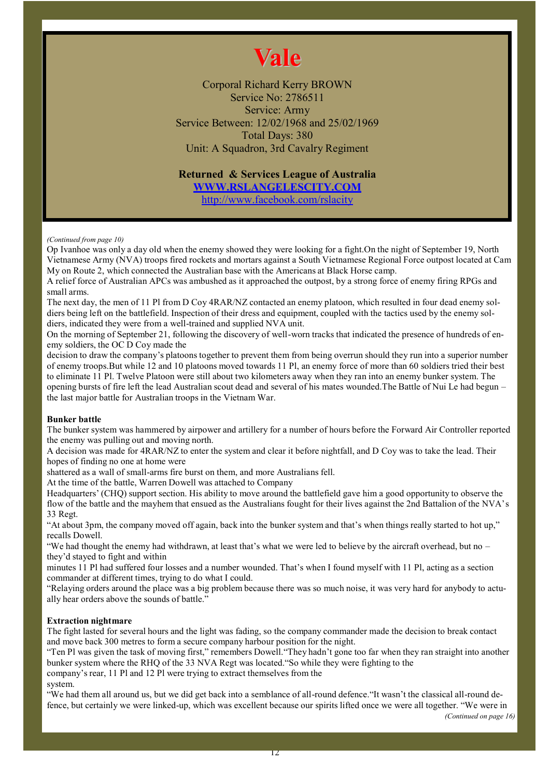# **Vale**

Corporal Richard Kerry BROWN Service No: 2786511 Service: Army Service Between: 12/02/1968 and 25/02/1969 Total Days: 380 Unit: A Squadron, 3rd Cavalry Regiment

### **Returned & Services League of Australia WWW.RSLANGELESCITY.COM**

http://www.facebook.com/rslacity

#### *(Continued from page 10)*

Op Ivanhoe was only a day old when the enemy showed they were looking for a fight.On the night of September 19, North Vietnamese Army (NVA) troops fired rockets and mortars against a South Vietnamese Regional Force outpost located at Cam My on Route 2, which connected the Australian base with the Americans at Black Horse camp.

A relief force of Australian APCs was ambushed as it approached the outpost, by a strong force of enemy firing RPGs and small arms.

The next day, the men of 11 Pl from D Coy 4RAR/NZ contacted an enemy platoon, which resulted in four dead enemy soldiers being left on the battlefield. Inspection of their dress and equipment, coupled with the tactics used by the enemy soldiers, indicated they were from a well-trained and supplied NVA unit.

On the morning of September 21, following the discovery of well-worn tracks that indicated the presence of hundreds of enemy soldiers, the OC D Coy made the

decision to draw the company's platoons together to prevent them from being overrun should they run into a superior number of enemy troops.But while 12 and 10 platoons moved towards 11 Pl, an enemy force of more than 60 soldiers tried their best to eliminate 11 Pl. Twelve Platoon were still about two kilometers away when they ran into an enemy bunker system. The opening bursts of fire left the lead Australian scout dead and several of his mates wounded.The Battle of Nui Le had begun – the last major battle for Australian troops in the Vietnam War.

#### **Bunker battle**

The bunker system was hammered by airpower and artillery for a number of hours before the Forward Air Controller reported the enemy was pulling out and moving north.

A decision was made for 4RAR/NZ to enter the system and clear it before nightfall, and D Coy was to take the lead. Their hopes of finding no one at home were

shattered as a wall of small-arms fire burst on them, and more Australians fell.

At the time of the battle, Warren Dowell was attached to Company

Headquarters' (CHQ) support section. His ability to move around the battlefield gave him a good opportunity to observe the flow of the battle and the mayhem that ensued as the Australians fought for their lives against the 2nd Battalion of the NVA's 33 Regt.

"At about 3pm, the company moved off again, back into the bunker system and that's when things really started to hot up," recalls Dowell.

"We had thought the enemy had withdrawn, at least that's what we were led to believe by the aircraft overhead, but no  $$ they'd stayed to fight and within

minutes 11 Pl had suffered four losses and a number wounded. That's when I found myself with 11 Pl, acting as a section commander at different times, trying to do what I could.

"Relaying orders around the place was a big problem because there was so much noise, it was very hard for anybody to actually hear orders above the sounds of battle."

#### **Extraction nightmare**

The fight lasted for several hours and the light was fading, so the company commander made the decision to break contact and move back 300 metres to form a secure company harbour position for the night.

"Ten Pl was given the task of moving first," remembers Dowell."They hadn't gone too far when they ran straight into another bunker system where the RHQ of the 33 NVA Regt was located."So while they were fighting to the company's rear, 11 Pl and 12 Pl were trying to extract themselves from the

system.

"We had them all around us, but we did get back into a semblance of all-round defence."It wasn't the classical all-round defence, but certainly we were linked-up, which was excellent because our spirits lifted once we were all together. "We were in

*(Continued on page 16)*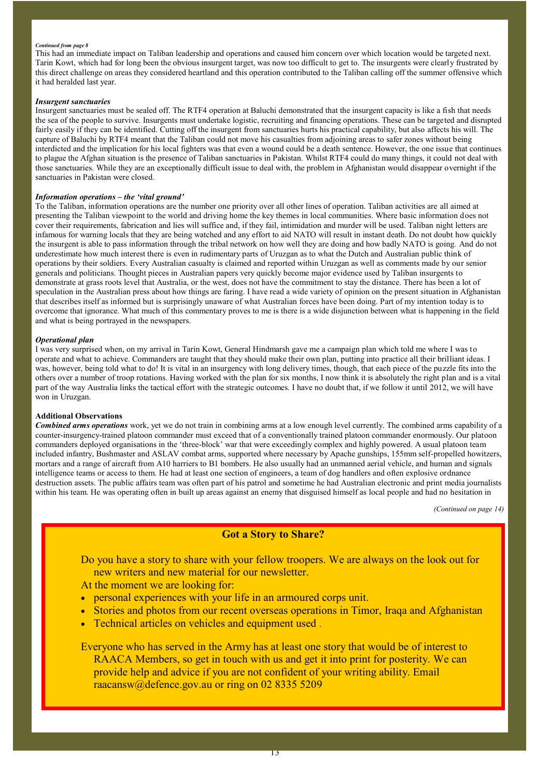#### *Continued from page 8*

This had an immediate impact on Taliban leadership and operations and caused him concern over which location would be targeted next. Tarin Kowt, which had for long been the obvious insurgent target, was now too difficult to get to. The insurgents were clearly frustrated by this direct challenge on areas they considered heartland and this operation contributed to the Taliban calling off the summer offensive which it had heralded last year.

#### *Insurgent sanctuaries*

Insurgent sanctuaries must be sealed off. The RTF4 operation at Baluchi demonstrated that the insurgent capacity is like a fish that needs the sea of the people to survive. Insurgents must undertake logistic, recruiting and financing operations. These can be targeted and disrupted fairly easily if they can be identified. Cutting off the insurgent from sanctuaries hurts his practical capability, but also affects his will. The capture of Baluchi by RTF4 meant that the Taliban could not move his casualties from adjoining areas to safer zones without being interdicted and the implication for his local fighters was that even a wound could be a death sentence. However, the one issue that continues to plague the Afghan situation is the presence of Taliban sanctuaries in Pakistan. Whilst RTF4 could do many things, it could not deal with those sanctuaries. While they are an exceptionally difficult issue to deal with, the problem in Afghanistan would disappear overnight if the sanctuaries in Pakistan were closed.

#### *Information operations – the ʻvital ground'*

To the Taliban, information operations are the number one priority over all other lines of operation. Taliban activities are all aimed at presenting the Taliban viewpoint to the world and driving home the key themes in local communities. Where basic information does not cover their requirements, fabrication and lies will suffice and, if they fail, intimidation and murder will be used. Taliban night letters are infamous for warning locals that they are being watched and any effort to aid NATO will result in instant death. Do not doubt how quickly the insurgent is able to pass information through the tribal network on how well they are doing and how badly NATO is going. And do not underestimate how much interest there is even in rudimentary parts of Uruzgan as to what the Dutch and Australian public think of operations by their soldiers. Every Australian casualty is claimed and reported within Uruzgan as well as comments made by our senior generals and politicians. Thought pieces in Australian papers very quickly become major evidence used by Taliban insurgents to demonstrate at grass roots level that Australia, or the west, does not have the commitment to stay the distance. There has been a lot of speculation in the Australian press about how things are faring. I have read a wide variety of opinion on the present situation in Afghanistan that describes itself as informed but is surprisingly unaware of what Australian forces have been doing. Part of my intention today is to overcome that ignorance. What much of this commentary proves to me is there is a wide disjunction between what is happening in the field and what is being portrayed in the newspapers.

#### *Operational plan*

I was very surprised when, on my arrival in Tarin Kowt, General Hindmarsh gave me a campaign plan which told me where I was to operate and what to achieve. Commanders are taught that they should make their own plan, putting into practice all their brilliant ideas. I was, however, being told what to do! It is vital in an insurgency with long delivery times, though, that each piece of the puzzle fits into the others over a number of troop rotations. Having worked with the plan for six months, I now think it is absolutely the right plan and is a vital part of the way Australia links the tactical effort with the strategic outcomes. I have no doubt that, if we follow it until 2012, we will have won in Uruzgan.

#### **Additional Observations**

*Combined arms operations* work, yet we do not train in combining arms at a low enough level currently. The combined arms capability of a counter-insurgency-trained platoon commander must exceed that of a conventionally trained platoon commander enormously. Our platoon commanders deployed organisations in the ʻthree-block' war that were exceedingly complex and highly powered. A usual platoon team included infantry, Bushmaster and ASLAV combat arms, supported where necessary by Apache gunships, 155mm self-propelled howitzers, mortars and a range of aircraft from A10 harriers to B1 bombers. He also usually had an unmanned aerial vehicle, and human and signals intelligence teams or access to them. He had at least one section of engineers, a team of dog handlers and often explosive ordnance destruction assets. The public affairs team was often part of his patrol and sometime he had Australian electronic and print media journalists within his team. He was operating often in built up areas against an enemy that disguised himself as local people and had no hesitation in

*(Continued on page 14)*

### **Got a Story to Share?**

Do you have a story to share with your fellow troopers. We are always on the look out for new writers and new material for our newsletter.

At the moment we are looking for:

- personal experiences with your life in an armoured corps unit.
- Stories and photos from our recent overseas operations in Timor, Iraqa and Afghanistan
- Technical articles on vehicles and equipment used .

Everyone who has served in the Army has at least one story that would be of interest to RAACA Members, so get in touch with us and get it into print for posterity. We can provide help and advice if you are not confident of your writing ability. Email raacansw@defence.gov.au or ring on 02 8335 5209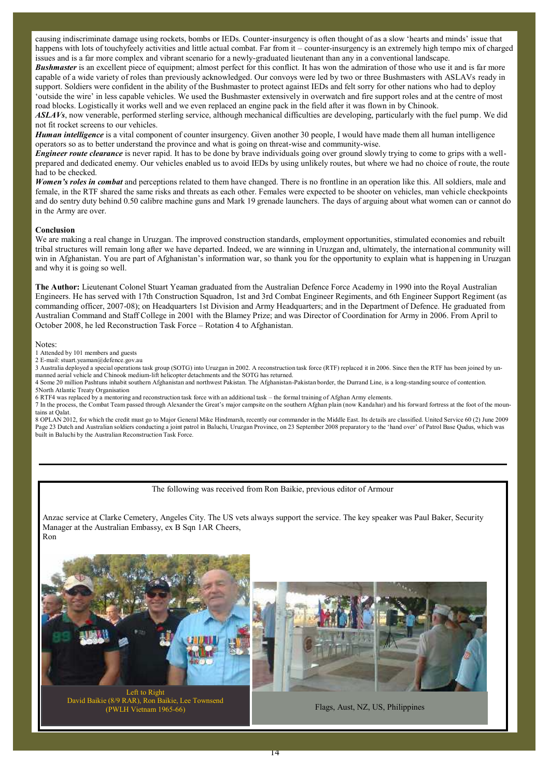causing indiscriminate damage using rockets, bombs or IEDs. Counter-insurgency is often thought of as a slow ʻhearts and minds' issue that happens with lots of touchyfeely activities and little actual combat. Far from it – counter-insurgency is an extremely high tempo mix of charged issues and is a far more complex and vibrant scenario for a newly-graduated lieutenant than any in a conventional landscape.

**Bushmaster** is an excellent piece of equipment; almost perfect for this conflict. It has won the admiration of those who use it and is far more capable of a wide variety of roles than previously acknowledged. Our convoys were led by two or three Bushmasters with ASLAVs ready in support. Soldiers were confident in the ability of the Bushmaster to protect against IEDs and felt sorry for other nations who had to deploy ʻoutside the wire' in less capable vehicles. We used the Bushmaster extensively in overwatch and fire support roles and at the centre of most road blocks. Logistically it works well and we even replaced an engine pack in the field after it was flown in by Chinook.

*ASLAVs*, now venerable, performed sterling service, although mechanical difficulties are developing, particularly with the fuel pump. We did not fit rocket screens to our vehicles.

*Human intelligence* is a vital component of counter insurgency. Given another 30 people, I would have made them all human intelligence operators so as to better understand the province and what is going on threat-wise and community-wise.

**Engineer route clearance** is never rapid. It has to be done by brave individuals going over ground slowly trying to come to grips with a wellprepared and dedicated enemy. Our vehicles enabled us to avoid IEDs by using unlikely routes, but where we had no choice of route, the route had to be checked.

*Women's roles in combat* and perceptions related to them have changed. There is no frontline in an operation like this. All soldiers, male and female, in the RTF shared the same risks and threats as each other. Females were expected to be shooter on vehicles, man vehicle checkpoints and do sentry duty behind 0.50 calibre machine guns and Mark 19 grenade launchers. The days of arguing about what women can or cannot do in the Army are over.

#### **Conclusion**

We are making a real change in Uruzgan. The improved construction standards, employment opportunities, stimulated economies and rebuilt tribal structures will remain long after we have departed. Indeed, we are winning in Uruzgan and, ultimately, the international community will win in Afghanistan. You are part of Afghanistan's information war, so thank you for the opportunity to explain what is happening in Uruzgan and why it is going so well.

**The Author:** Lieutenant Colonel Stuart Yeaman graduated from the Australian Defence Force Academy in 1990 into the Royal Australian Engineers. He has served with 17th Construction Squadron, 1st and 3rd Combat Engineer Regiments, and 6th Engineer Support Regiment (as commanding officer, 2007-08); on Headquarters 1st Division and Army Headquarters; and in the Department of Defence. He graduated from Australian Command and Staff College in 2001 with the Blamey Prize; and was Director of Coordination for Army in 2006. From April to October 2008, he led Reconstruction Task Force – Rotation 4 to Afghanistan.

#### Notes:

1 Attended by 101 members and guests

2 E-mail: stuart.yeaman@defence.gov.au

3 Australia deployed a special operations task group (SOTG) into Uruzgan in 2002. A reconstruction task force (RTF) replaced it in 2006. Since then the RTF has been joined by unmanned aerial vehicle and Chinook medium-lift helicopter detachments and the SOTG has returned.

4 Some 20 million Pashtuns inhabit southern Afghanistan and northwest Pakistan. The Afghanistan-Pakistan border, the Durrand Line, is a long-standing source of contention. 5North Atlantic Treaty Organisation

6 RTF4 was replaced by a mentoring and reconstruction task force with an additional task – the formal training of Afghan Army elements.

7 In the process, the Combat Team passed through Alexander the Great's major campsite on the southern Afghan plain (now Kandahar) and his forward fortress at the foot of the mountains at Oalat

8 OPLAN 2012, for which the credit must go to Major General Mike Hindmarsh, recently our commander in the Middle East. Its details are classified. United Service 60 (2) June 2009 Page 23 Dutch and Australian soldiers conducting a joint patrol in Baluchi, Uruzgan Province, on 23 September 2008 preparatory to the ʻhand over' of Patrol Base Qudus, which was built in Baluchi by the Australian Reconstruction Task Force.

#### The following was received from Ron Baikie, previous editor of Armour

Anzac service at Clarke Cemetery, Angeles City. The US vets always support the service. The key speaker was Paul Baker, Security Manager at the Australian Embassy, ex B Sqn 1AR Cheers, Ron



David Baikie (8/9 RAR), Ron Baikie, Lee Townsend

Flags, Aust, NZ, US, Philippines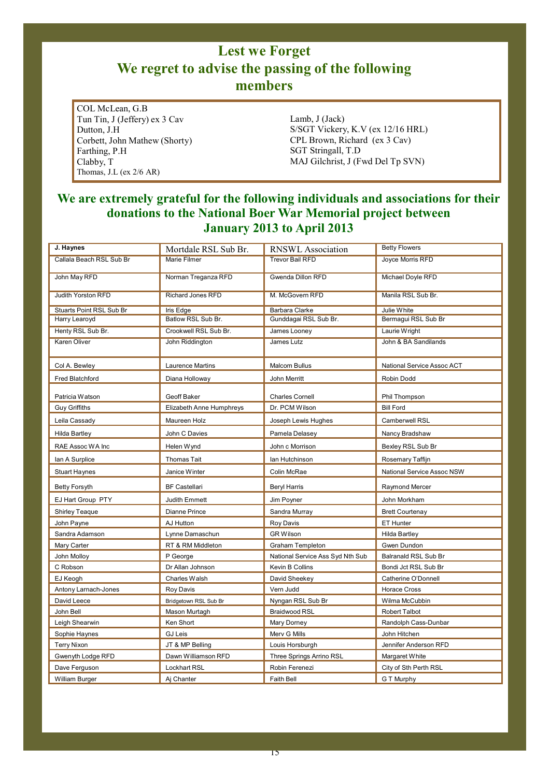## **Lest we Forget We regret to advise the passing of the following members**

COL McLean, G.B Tun Tin, J (Jeffery) ex 3 Cav Dutton, J.H Corbett, John Mathew (Shorty) Farthing, P.H Clabby, T Thomas, J.L (ex 2/6 AR)

Lamb, J (Jack) S/SGT Vickery, K.V (ex 12/16 HRL) CPL Brown, Richard (ex 3 Cav) SGT Stringall, T.D MAJ Gilchrist, J (Fwd Del Tp SVN)

### **We are extremely grateful for the following individuals and associations for their donations to the National Boer War Memorial project between January 2013 to April 2013**

| J. Haynes                | Mortdale RSL Sub Br.     | <b>RNSWL</b> Association         | <b>Betty Flowers</b>       |
|--------------------------|--------------------------|----------------------------------|----------------------------|
| Callala Beach RSL Sub Br | Marie Filmer             | <b>Trevor Bail RFD</b>           | Joyce Morris RFD           |
|                          |                          |                                  |                            |
| John May RFD             | Norman Treganza RFD      | Gwenda Dillon RFD                | Michael Doyle RFD          |
|                          |                          |                                  |                            |
| Judith Yorston RFD       | <b>Richard Jones RFD</b> | M. McGovern RFD                  | Manila RSL Sub Br.         |
| Stuarts Point RSL Sub Br | Iris Edge                | <b>Barbara Clarke</b>            | Julie White                |
| Harry Learoyd            | Batlow RSL Sub Br.       | Gunddagai RSL Sub Br.            | Bermagui RSL Sub Br        |
| Henty RSL Sub Br.        | Crookwell RSL Sub Br.    | James Looney                     | Laurie Wright              |
| <b>Karen Oliver</b>      | John Riddington          | James Lutz                       | John & BA Sandilands       |
|                          |                          |                                  |                            |
| Col A. Bewley            | Laurence Martins         | <b>Malcom Bullus</b>             | National Service Assoc ACT |
| Fred Blatchford          | Diana Holloway           | John Merritt                     | Robin Dodd                 |
|                          |                          |                                  |                            |
| Patricia Watson          | Geoff Baker              | <b>Charles Cornell</b>           | Phil Thompson              |
| <b>Guy Griffiths</b>     | Elizabeth Anne Humphreys | Dr. PCM Wilson                   | <b>Bill Ford</b>           |
| Leila Cassady            | Maureen Holz             | Joseph Lewis Hughes              | Camberwell RSL             |
| <b>Hilda Bartley</b>     | John C Davies            | Pamela Delasey                   | Nancy Bradshaw             |
| RAE Assoc WA Inc         | Helen Wynd               | John c Morrison                  | Bexley RSL Sub Br          |
| lan A Surplice           | <b>Thomas Tait</b>       | lan Hutchinson                   | Rosemary Taffijn           |
| <b>Stuart Haynes</b>     | Janice Winter            | Colin McRae                      | National Service Assoc NSW |
| <b>Betty Forsyth</b>     | <b>BF Castellari</b>     | <b>Beryl Harris</b>              | Raymond Mercer             |
| EJ Hart Group PTY        | <b>Judith Emmett</b>     | Jim Poyner                       | John Morkham               |
| <b>Shirley Teaque</b>    | Dianne Prince            | Sandra Murray                    | <b>Brett Courtenay</b>     |
| John Payne               | AJ Hutton                | <b>Roy Davis</b>                 | ET Hunter                  |
| Sandra Adamson           | Lynne Damaschun          | <b>GR Wilson</b>                 | <b>Hilda Bartley</b>       |
| Mary Carter              | RT & RM Middleton        | <b>Graham Templeton</b>          | Gwen Dundon                |
| John Molloy              | P George                 | National Service Ass Syd Nth Sub | Balranald RSL Sub Br       |
| C Robson                 | Dr Allan Johnson         | Kevin B Collins                  | Bondi Jct RSL Sub Br       |
| EJ Keogh                 | Charles Walsh            | David Sheekey                    | Catherine O'Donnell        |
| Antony Larnach-Jones     | <b>Roy Davis</b>         | Vern Judd                        | <b>Horace Cross</b>        |
| David Leece              | Bridgetown RSL Sub Br    | Nyngan RSL Sub Br                | Wilma McCubbin             |
| John Bell                | Mason Murtagh            | <b>Braidwood RSL</b>             | Robert Talbot              |
| Leigh Shearwin           | Ken Short                | Mary Dorney                      | Randolph Cass-Dunbar       |
| Sophie Haynes            | <b>GJ Leis</b>           | Merv G Mills                     | John Hitchen               |
| <b>Terry Nixon</b>       | JT & MP Belling          | Louis Horsburgh                  | Jennifer Anderson RFD      |
| Gwenyth Lodge RFD        | Dawn Williamson RFD      | Three Springs Arrino RSL         | Margaret White             |
| Dave Ferguson            | <b>Lockhart RSL</b>      | Robin Ferenezi                   | City of Sth Perth RSL      |
| William Burger           | Aj Chanter               | Faith Bell                       | G T Murphy                 |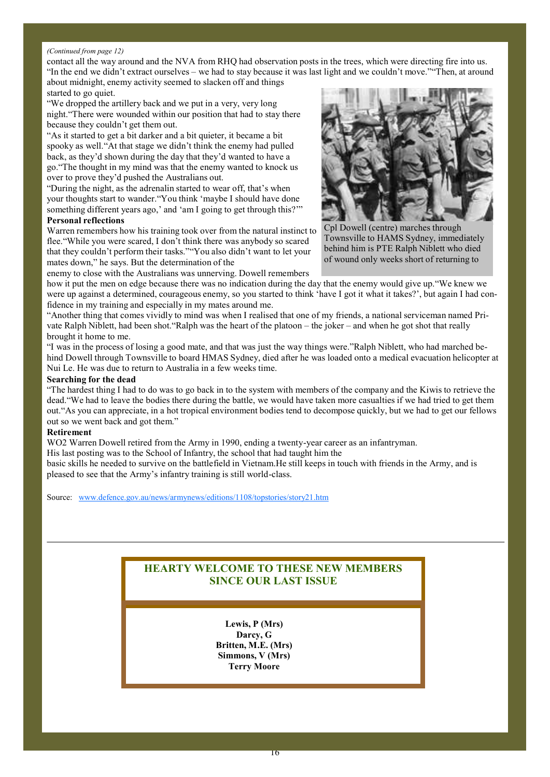#### *(Continued from page 12)*

contact all the way around and the NVA from RHQ had observation posts in the trees, which were directing fire into us. "In the end we didn't extract ourselves – we had to stay because it was last light and we couldn't move.""Then, at around about midnight, enemy activity seemed to slacken off and things

#### started to go quiet.

"We dropped the artillery back and we put in a very, very long night."There were wounded within our position that had to stay there because they couldn't get them out.

"As it started to get a bit darker and a bit quieter, it became a bit spooky as well."At that stage we didn't think the enemy had pulled back, as they'd shown during the day that they'd wanted to have a go."The thought in my mind was that the enemy wanted to knock us over to prove they'd pushed the Australians out.

"During the night, as the adrenalin started to wear off, that's when your thoughts start to wander."You think 'maybe I should have done something different years ago,' and 'am I going to get through this?'"

### **Personal reflections**

Warren remembers how his training took over from the natural instinct to flee."While you were scared, I don't think there was anybody so scared that they couldn't perform their tasks.""You also didn't want to let your mates down," he says. But the determination of the

enemy to close with the Australians was unnerving. Dowell remembers

how it put the men on edge because there was no indication during the day that the enemy would give up."We knew we were up against a determined, courageous enemy, so you started to think 'have I got it what it takes?', but again I had confidence in my training and especially in my mates around me.

"Another thing that comes vividly to mind was when I realised that one of my friends, a national serviceman named Private Ralph Niblett, had been shot."Ralph was the heart of the platoon – the joker – and when he got shot that really brought it home to me.

"I was in the process of losing a good mate, and that was just the way things were."Ralph Niblett, who had marched behind Dowell through Townsville to board HMAS Sydney, died after he was loaded onto a medical evacuation helicopter at Nui Le. He was due to return to Australia in a few weeks time.

#### **Searching for the dead**

"The hardest thing I had to do was to go back in to the system with members of the company and the Kiwis to retrieve the dead."We had to leave the bodies there during the battle, we would have taken more casualties if we had tried to get them out."As you can appreciate, in a hot tropical environment bodies tend to decompose quickly, but we had to get our fellows out so we went back and got them."

#### **Retirement**

WO2 Warren Dowell retired from the Army in 1990, ending a twenty-year career as an infantryman.

His last posting was to the School of Infantry, the school that had taught him the

basic skills he needed to survive on the battlefield in Vietnam.He still keeps in touch with friends in the Army, and is pleased to see that the Army's infantry training is still world-class.

Source: www.defence.gov.au/news/armynews/editions/1108/topstories/story21.htm

### **HEARTY WELCOME TO THESE NEW MEMBERS SINCE OUR LAST ISSUE**

**Lewis, P (Mrs) Darcy, G Britten, M.E. (Mrs) Simmons, V (Mrs) Terry Moore**



Cpl Dowell (centre) marches through Townsville to HAMS Sydney, immediately behind him is PTE Ralph Niblett who died of wound only weeks short of returning to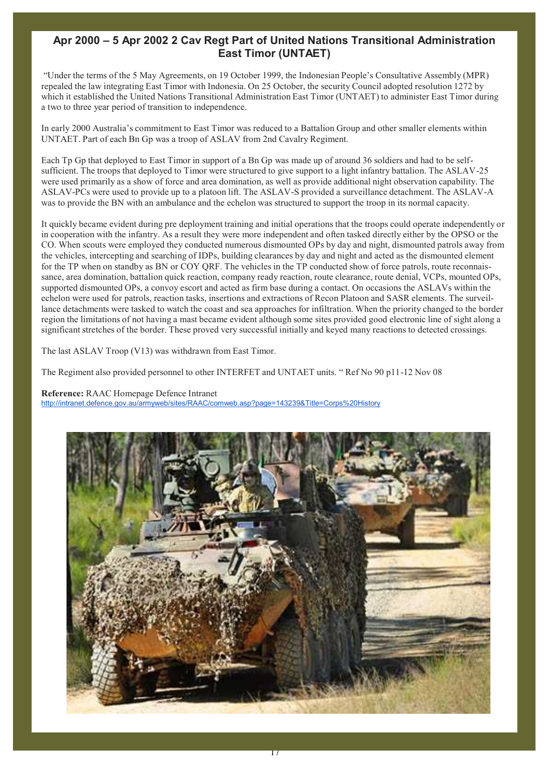### **Apr 2000 – 5 Apr 2002 2 Cav Regt Part of United Nations Transitional Administration East Timor (UNTAET)**

"Under the terms of the 5 May Agreements, on 19 October 1999, the Indonesian People's Consultative Assembly (MPR) repealed the law integrating East Timor with Indonesia. On 25 October, the security Council adopted resolution 1272 by which it established the United Nations Transitional Administration East Timor (UNTAET) to administer East Timor during a two to three year period of transition to independence.

In early 2000 Australia's commitment to East Timor was reduced to a Battalion Group and other smaller elements within UNTAET. Part of each Bn Gp was a troop of ASLAV from 2nd Cavalry Regiment.

Each Tp Gp that deployed to East Timor in support of a Bn Gp was made up of around 36 soldiers and had to be selfsufficient. The troops that deployed to Timor were structured to give support to a light infantry battalion. The ASLAV-25 were used primarily as a show of force and area domination, as well as provide additional night observation capability. The ASLAV-PCs were used to provide up to a platoon lift. The ASLAV-S provided a surveillance detachment. The ASLAV-A was to provide the BN with an ambulance and the echelon was structured to support the troop in its normal capacity.

It quickly became evident during pre deployment training and initial operations that the troops could operate independently or in cooperation with the infantry. As a result they were more independent and often tasked directly either by the OPSO or the CO. When scouts were employed they conducted numerous dismounted OPs by day and night, dismounted patrols away from the vehicles, intercepting and searching of IDPs, building clearances by day and night and acted as the dismounted element for the TP when on standby as BN or COY QRF. The vehicles in the TP conducted show of force patrols, route reconnaissance, area domination, battalion quick reaction, company ready reaction, route clearance, route denial, VCPs, mounted OPs, supported dismounted OPs, a convoy escort and acted as firm base during a contact. On occasions the ASLAVs within the echelon were used for patrols, reaction tasks, insertions and extractions of Recon Platoon and SASR elements. The surveillance detachments were tasked to watch the coast and sea approaches for infiltration. When the priority changed to the border region the limitations of not having a mast became evident although some sites provided good electronic line of sight along a significant stretches of the border. These proved very successful initially and keyed many reactions to detected crossings.

The last ASLAV Troop (V13) was withdrawn from East Timor.

The Regiment also provided personnel to other INTERFET and UNTAET units. " Ref No 90 p11-12 Nov 08

#### **Reference:** RAAC Homepage Defence Intranet

http://intranet.defence.gov.au/armyweb/sites/RAAC/comweb.asp?page=143239&Title=Corps%20History

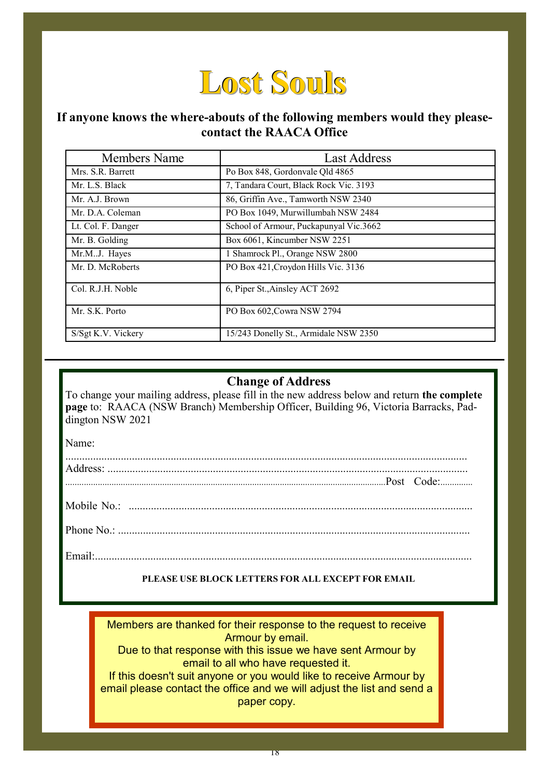

### **If anyone knows the where-abouts of the following members would they pleasecontact the RAACA Office**

| Members Name       | <b>Last Address</b>                    |
|--------------------|----------------------------------------|
| Mrs. S.R. Barrett  | Po Box 848, Gordonyale Qld 4865        |
| Mr. L.S. Black     | 7, Tandara Court, Black Rock Vic. 3193 |
| Mr. A.J. Brown     | 86, Griffin Ave., Tamworth NSW 2340    |
| Mr. D.A. Coleman   | PO Box 1049, Murwillumbah NSW 2484     |
| Lt. Col. F. Danger | School of Armour, Puckapunyal Vic.3662 |
| Mr. B. Golding     | Box 6061, Kincumber NSW 2251           |
| Mr.M.J. Hayes      | 1 Shamrock Pl., Orange NSW 2800        |
| Mr. D. McRoberts   | PO Box 421, Croydon Hills Vic. 3136    |
| Col. R.J.H. Noble  | 6, Piper St., Ainsley ACT 2692         |
| Mr. S.K. Porto     | PO Box 602, Cowra NSW 2794             |
| S/Sgt K.V. Vickery | 15/243 Donelly St., Armidale NSW 2350  |

### **Change of Address**

To change your mailing address, please fill in the new address below and return **the complete page** to: RAACA (NSW Branch) Membership Officer, Building 96, Victoria Barracks, Paddington NSW 2021

Name:

### **PLEASE USE BLOCK LETTERS FOR ALL EXCEPT FOR EMAIL**

Members are thanked for their response to the request to receive Armour by email.

Due to that response with this issue we have sent Armour by email to all who have requested it.

If this doesn't suit anyone or you would like to receive Armour by email please contact the office and we will adjust the list and send a paper copy.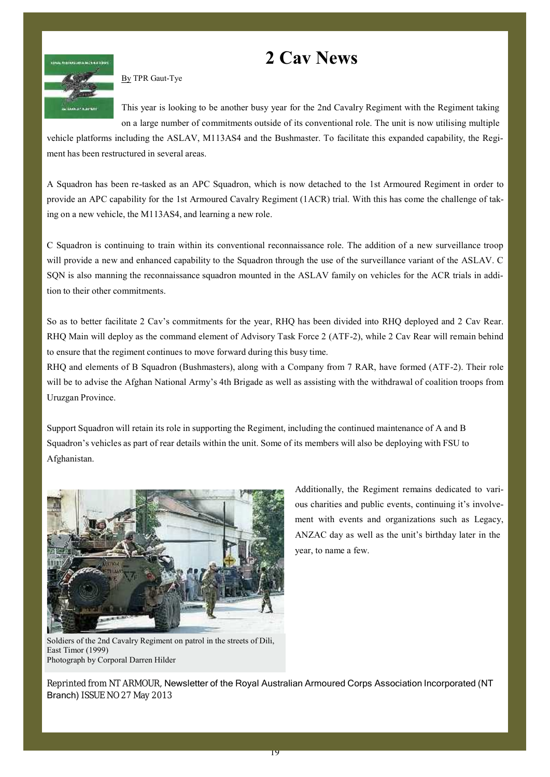## **2 Cav News**



By TPR Gaut-Tye

This year is looking to be another busy year for the 2nd Cavalry Regiment with the Regiment taking on a large number of commitments outside of its conventional role. The unit is now utilising multiple

vehicle platforms including the ASLAV, M113AS4 and the Bushmaster. To facilitate this expanded capability, the Regiment has been restructured in several areas.

A Squadron has been re-tasked as an APC Squadron, which is now detached to the 1st Armoured Regiment in order to provide an APC capability for the 1st Armoured Cavalry Regiment (1ACR) trial. With this has come the challenge of taking on a new vehicle, the M113AS4, and learning a new role.

C Squadron is continuing to train within its conventional reconnaissance role. The addition of a new surveillance troop will provide a new and enhanced capability to the Squadron through the use of the surveillance variant of the ASLAV. C SQN is also manning the reconnaissance squadron mounted in the ASLAV family on vehicles for the ACR trials in addition to their other commitments.

So as to better facilitate 2 Cav's commitments for the year, RHQ has been divided into RHQ deployed and 2 Cav Rear. RHQ Main will deploy as the command element of Advisory Task Force 2 (ATF-2), while 2 Cav Rear will remain behind to ensure that the regiment continues to move forward during this busy time.

RHQ and elements of B Squadron (Bushmasters), along with a Company from 7 RAR, have formed (ATF-2). Their role will be to advise the Afghan National Army's 4th Brigade as well as assisting with the withdrawal of coalition troops from Uruzgan Province.

Support Squadron will retain its role in supporting the Regiment, including the continued maintenance of A and B Squadron's vehicles as part of rear details within the unit. Some of its members will also be deploying with FSU to Afghanistan.



Soldiers of the 2nd Cavalry Regiment on patrol in the streets of Dili, East Timor (1999) Photograph by Corporal Darren Hilder

Additionally, the Regiment remains dedicated to various charities and public events, continuing it's involvement with events and organizations such as Legacy, ANZAC day as well as the unit's birthday later in the year, to name a few.

Reprinted from NT ARMOUR, Newsletter of the Royal Australian Armoured Corps Association Incorporated (NT Branch) ISSUE NO 27 May 2013